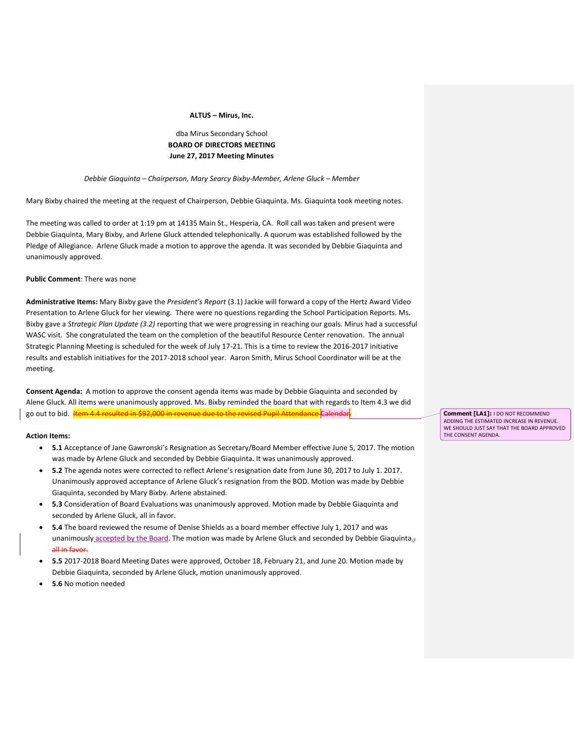#### **ALTUS – Mirus, Inc.**

# dba Mirus Secondary School **BOARD OF DIRECTORS MEETING June 27, 2017 Meeting Minutes**

#### *Debbie Giaquinta – Chairperson, Mary Searcy Bixby-Member, Arlene Gluck – Member*

Mary Bixby chaired the meeting at the request of Chairperson, Debbie Giaquinta. Ms. Giaquinta took meeting notes.

The meeting was called to order at 1:19 pm at 14135 Main St., Hesperia, CA. Roll call was taken and present were Debbie Giaquinta, Mary Bixby, and Arlene Gluck attended telephonically. A quorum was established followed by the Pledge of Allegiance. Arlene Gluck made a motion to approve the agenda. It was seconded by Debbie Giaquinta and unanimously approved.

### **Public Comment**: There was none

**Administrative Items:** Mary Bixby gave the *President's Report* (3.1) Jackie will forward a copy of the Hertz Award Video Presentation to Arlene Gluck for her viewing. There were no questions regarding the School Participation Reports. Ms. Bixby gave a *Strategic Plan Update (3.2)* reporting that we were progressing in reaching our goals. Mirus had a successful WASC visit. She congratulated the team on the completion of the beautiful Resource Center renovation. The annual Strategic Planning Meeting is scheduled for the week of July 17-21. This is a time to review the 2016-2017 initiative results and establish initiatives for the 2017-2018 school year. Aaron Smith, Mirus School Coordinator will be at the meeting.

**Consent Agenda:** A motion to approve the consent agenda items was made by Debbie Giaquinta and seconded by Alene Gluck. All items were unanimously approved. Ms. Bixby reminded the board that with regards to Item 4.3 we did go out to bid. Item 4.4 resulted in \$92,000 in revenue due to the revised Pupil Attendance

#### **Action Items:**

- **5.1** Acceptance of Jane Gawronski's Resignation as Secretary/Board Member effective June 5, 2017. The motion was made by Arlene Gluck and seconded by Debbie Giaquinta. It was unanimously approved.
- **5.2** The agenda notes were corrected to reflect Arlene's resignation date from June 30, 2017 to July 1. 2017. Unanimously approved acceptance of Arlene Gluck's resignation from the BOD. Motion was made by Debbie Giaquinta, seconded by Mary Bixby. Arlene abstained.
- **5.3** Consideration of Board Evaluations was unanimously approved. Motion made by Debbie Giaquinta and seconded by Arlene Gluck, all in favor.
- **5.4** The board reviewed the resume of Denise Shields as a board member effective July 1, 2017 and was unanimously accepted by the Board. The motion was made by Arlene Gluck and seconded by Debbie Giaquinta. all in favor.
- **5.5** 2017-2018 Board Meeting Dates were approved, October 18, February 21, and June 20. Motion made by Debbie Giaquinta, seconded by Arlene Gluck, motion unanimously approved.
- **5.6** No motion needed

**Comment [LA1]:** I DO NOT RECOMMEND ADDING THE ESTIMATED INCREASE IN REVENUE. WE SHOULD JUST SAY THAT THE BOARD APPROVED THE CONSENT AGENDA.